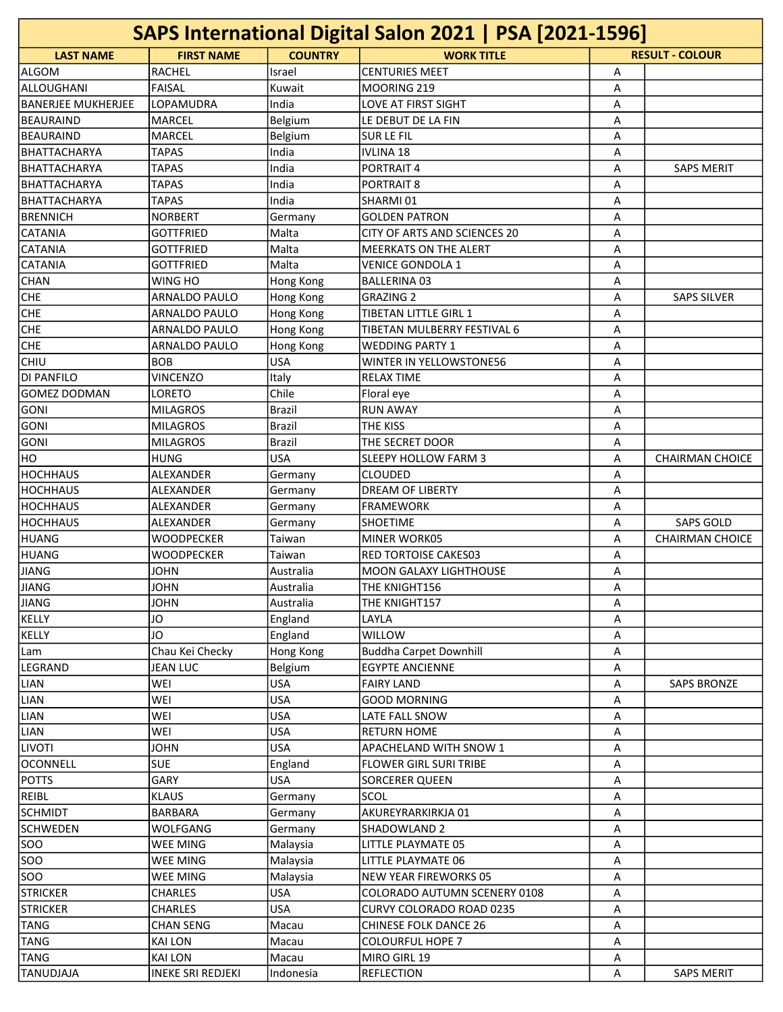| SAPS International Digital Salon 2021   PSA [2021-1596] |                          |                  |                               |   |                        |  |
|---------------------------------------------------------|--------------------------|------------------|-------------------------------|---|------------------------|--|
| <b>LAST NAME</b>                                        | <b>FIRST NAME</b>        | <b>COUNTRY</b>   | <b>WORK TITLE</b>             |   | <b>RESULT - COLOUR</b> |  |
| ALGOM                                                   | <b>RACHEL</b>            | Israel           | <b>CENTURIES MEET</b>         | Α |                        |  |
| ALLOUGHANI                                              | <b>FAISAL</b>            | Kuwait           | MOORING 219                   | A |                        |  |
| <b>BANERJEE MUKHERJEE</b>                               | LOPAMUDRA                | India            | LOVE AT FIRST SIGHT           | Α |                        |  |
| <b>BEAURAIND</b>                                        | MARCEL                   | <b>Belgium</b>   | LE DEBUT DE LA FIN            | Α |                        |  |
| <b>BEAURAIND</b>                                        | <b>MARCEL</b>            | Belgium          | <b>SURLEFIL</b>               | Α |                        |  |
| BHATTACHARYA                                            | <b>TAPAS</b>             | India            | <b>IVLINA 18</b>              | A |                        |  |
| BHATTACHARYA                                            | <b>TAPAS</b>             | India            | <b>PORTRAIT 4</b>             | Α | <b>SAPS MERIT</b>      |  |
| BHATTACHARYA                                            | <b>TAPAS</b>             | India            | PORTRAIT 8                    | Α |                        |  |
| BHATTACHARYA                                            | <b>TAPAS</b>             | India            | SHARMI 01                     | Α |                        |  |
| <b>IBRENNICH</b>                                        | <b>NORBERT</b>           | Germany          | <b>GOLDEN PATRON</b>          | Α |                        |  |
| <b>CATANIA</b>                                          | <b>GOTTFRIED</b>         | Malta            | CITY OF ARTS AND SCIENCES 20  | A |                        |  |
| <b>CATANIA</b>                                          | <b>GOTTFRIED</b>         | Malta            | <b>MEERKATS ON THE ALERT</b>  | Α |                        |  |
| <b>CATANIA</b>                                          | <b>GOTTFRIED</b>         | Malta            | <b>VENICE GONDOLA 1</b>       | Α |                        |  |
| <b>CHAN</b>                                             | WING HO                  | Hong Kong        | <b>BALLERINA 03</b>           | Α |                        |  |
| <b>CHE</b>                                              | <b>ARNALDO PAULO</b>     | <b>Hong Kong</b> | <b>GRAZING 2</b>              | Α | <b>SAPS SILVER</b>     |  |
| <b>CHE</b>                                              | ARNALDO PAULO            | Hong Kong        | <b>TIBETAN LITTLE GIRL 1</b>  | Α |                        |  |
| <b>CHE</b>                                              | ARNALDO PAULO            | <b>Hong Kong</b> | TIBETAN MULBERRY FESTIVAL 6   | Α |                        |  |
| <b>CHE</b>                                              | ARNALDO PAULO            | Hong Kong        | <b>WEDDING PARTY 1</b>        | Α |                        |  |
| <b>CHIU</b>                                             | <b>BOB</b>               | <b>USA</b>       | WINTER IN YELLOWSTONE56       | Α |                        |  |
| <b>DI PANFILO</b>                                       | <b>VINCENZO</b>          | Italy            | <b>RELAX TIME</b>             | Α |                        |  |
| GOMEZ DODMAN                                            | LORETO                   | Chile            | Floral eye                    | A |                        |  |
| <b>GONI</b>                                             | <b>MILAGROS</b>          |                  | <b>RUN AWAY</b>               |   |                        |  |
|                                                         |                          | Brazil           |                               | A |                        |  |
| <b>GONI</b>                                             | <b>MILAGROS</b>          | <b>Brazil</b>    | <b>THE KISS</b>               | Α |                        |  |
| <b>GONI</b>                                             | <b>MILAGROS</b>          | Brazil           | THE SECRET DOOR               | Α |                        |  |
| HO                                                      | <b>HUNG</b>              | USA              | <b>SLEEPY HOLLOW FARM 3</b>   | Α | <b>CHAIRMAN CHOICE</b> |  |
| <b>HOCHHAUS</b>                                         | ALEXANDER                | Germany          | ICLOUDED                      | Α |                        |  |
| Іносннаиѕ                                               | <b>ALEXANDER</b>         | Germany          | <b>DREAM OF LIBERTY</b>       | Α |                        |  |
| HOCHHAUS                                                | ALEXANDER                | Germany          | <b>FRAMEWORK</b>              | Α |                        |  |
| <b>HOCHHAUS</b>                                         | ALEXANDER                | Germany          | <b>SHOETIME</b>               | Α | <b>SAPS GOLD</b>       |  |
| HUANG                                                   | <b>WOODPECKER</b>        | Taiwan           | MINER WORK05                  | Α | <b>CHAIRMAN CHOICE</b> |  |
| HUANG                                                   | <b>WOODPECKER</b>        | Taiwan           | <b>RED TORTOISE CAKES03</b>   | A |                        |  |
| JIANG                                                   | JOHN                     | Australia        | MOON GALAXY LIGHTHOUSE        | Α |                        |  |
| <b>JIANG</b>                                            | <b>JOHN</b>              | Australia        | THE KNIGHT156                 | A |                        |  |
| <b>JIANG</b>                                            | <b>JOHN</b>              | Australia        | THE KNIGHT157                 | Α |                        |  |
| KELLY                                                   | JO                       | England          | LAYLA                         | A |                        |  |
| KELLY                                                   | JO                       | England          | <b>WILLOW</b>                 | Α |                        |  |
| Lam                                                     | Chau Kei Checky          | Hong Kong        | <b>Buddha Carpet Downhill</b> | Α |                        |  |
| LEGRAND                                                 | <b>JEAN LUC</b>          | Belgium          | <b>EGYPTE ANCIENNE</b>        | Α |                        |  |
| LIAN                                                    | WEI                      | <b>USA</b>       | <b>FAIRY LAND</b>             | Α | <b>SAPS BRONZE</b>     |  |
| LIAN                                                    | WEI                      | <b>USA</b>       | <b>GOOD MORNING</b>           | Α |                        |  |
| LIAN                                                    | WEI                      | <b>USA</b>       | LATE FALL SNOW                | Α |                        |  |
| LIAN                                                    | WEI                      | <b>USA</b>       | <b>RETURN HOME</b>            | Α |                        |  |
| <b>LIVOTI</b>                                           | <b>JOHN</b>              | <b>USA</b>       | APACHELAND WITH SNOW 1        | Α |                        |  |
| OCONNELL                                                | <b>SUE</b>               | England          | <b>FLOWER GIRL SURI TRIBE</b> | Α |                        |  |
| <b>POTTS</b>                                            | <b>GARY</b>              | <b>USA</b>       | <b>SORCERER QUEEN</b>         | Α |                        |  |
| <b>REIBL</b>                                            | <b>KLAUS</b>             | Germany          | <b>SCOL</b>                   | Α |                        |  |
| <b>SCHMIDT</b>                                          | BARBARA                  | Germany          | AKUREYRARKIRKJA 01            | Α |                        |  |
| <b>SCHWEDEN</b>                                         | WOLFGANG                 | Germany          | SHADOWLAND 2                  | Α |                        |  |
| <b>SOO</b>                                              | <b>WEE MING</b>          | Malaysia         | LITTLE PLAYMATE 05            | Α |                        |  |
| SO <sub>O</sub>                                         | <b>WEE MING</b>          | Malaysia         | LITTLE PLAYMATE 06            | Α |                        |  |
| <b>SOO</b>                                              | <b>WEE MING</b>          | Malaysia         | NEW YEAR FIREWORKS 05         | Α |                        |  |
| <b>STRICKER</b>                                         | <b>CHARLES</b>           | <b>USA</b>       | COLORADO AUTUMN SCENERY 0108  | Α |                        |  |
| <b>STRICKER</b>                                         | <b>CHARLES</b>           | <b>USA</b>       | CURVY COLORADO ROAD 0235      | Α |                        |  |
| <b>TANG</b>                                             | <b>CHAN SENG</b>         | Macau            | CHINESE FOLK DANCE 26         | Α |                        |  |
| <b>TANG</b>                                             | <b>KAI LON</b>           | Macau            | <b>COLOURFUL HOPE 7</b>       | Α |                        |  |
| <b>TANG</b>                                             | <b>KAI LON</b>           | Macau            | MIRO GIRL 19                  | Α |                        |  |
| <b>TANUDJAJA</b>                                        | <b>INEKE SRI REDJEKI</b> | Indonesia        | <b>REFLECTION</b>             | А | <b>SAPS MERIT</b>      |  |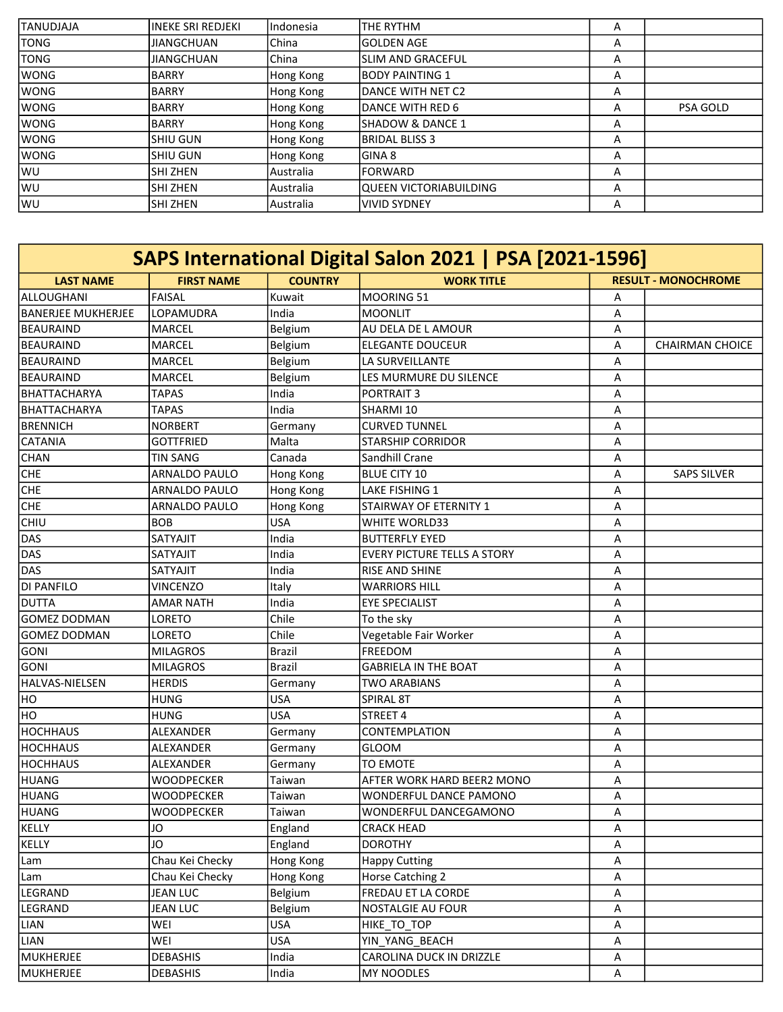| <b>TANUDJAJA</b> | IINEKE SRI REDJEKI | Indonesia | THE RYTHM                | A |                 |
|------------------|--------------------|-----------|--------------------------|---|-----------------|
| ltong            | <b>JIANGCHUAN</b>  | China     | <b>GOLDEN AGE</b>        | A |                 |
| <b>TONG</b>      | <b>JIANGCHUAN</b>  | l China   | <b>SLIM AND GRACEFUL</b> | A |                 |
| <b>WONG</b>      | BARRY              | Hong Kong | BODY PAINTING 1          | A |                 |
| <b>WONG</b>      | BARRY              | Hong Kong | DANCE WITH NET C2        | A |                 |
| <b>WONG</b>      | BARRY              | Hong Kong | DANCE WITH RED 6         | A | <b>PSA GOLD</b> |
| <b>WONG</b>      | BARRY              | Hong Kong | ISHADOW & DANCE 1        | A |                 |
| <b>WONG</b>      | ISHIU GUN          | Hong Kong | <b>BRIDAL BLISS 3</b>    | A |                 |
| <b>WONG</b>      | ISHIU GUN          | Hong Kong | GINA 8                   | A |                 |
| <b>WU</b>        | ISHI ZHEN          | Australia | IFORWARD                 | A |                 |
| lwu              | ISHI ZHEN          | Australia | lQUEEN VICTORIABUILDING  | A |                 |
| WU               | ISHI ZHEN          | Australia | <b>VIVID SYDNEY</b>      | A |                 |

| SAPS International Digital Salon 2021   PSA [2021-1596] |                      |                |                                    |                         |                            |  |  |
|---------------------------------------------------------|----------------------|----------------|------------------------------------|-------------------------|----------------------------|--|--|
| <b>LAST NAME</b>                                        | <b>FIRST NAME</b>    | <b>COUNTRY</b> | <b>WORK TITLE</b>                  |                         | <b>RESULT - MONOCHROME</b> |  |  |
| ALLOUGHANI                                              | FAISAL               | Kuwait         | <b>MOORING 51</b>                  | A                       |                            |  |  |
| <b>BANERJEE MUKHERJEE</b>                               | LOPAMUDRA            | India          | <b>MOONLIT</b>                     | A                       |                            |  |  |
| <b>BEAURAIND</b>                                        | MARCEL               | Belgium        | AU DELA DE L AMOUR                 | Α                       |                            |  |  |
| <b>BEAURAIND</b>                                        | MARCEL               | Belgium        | <b>ELEGANTE DOUCEUR</b>            | Α                       | CHAIRMAN CHOICE            |  |  |
| <b>BEAURAIND</b>                                        | <b>MARCEL</b>        | Belgium        | LA SURVEILLANTE                    | Α                       |                            |  |  |
| <b>BEAURAIND</b>                                        | MARCEL               | Belgium        | LES MURMURE DU SILENCE             | Α                       |                            |  |  |
| BHATTACHARYA                                            | <b>TAPAS</b>         | India          | <b>PORTRAIT 3</b>                  | Α                       |                            |  |  |
| <b>BHATTACHARYA</b>                                     | <b>TAPAS</b>         | India          | SHARMI 10                          | Α                       |                            |  |  |
| <b>BRENNICH</b>                                         | NORBERT              | Germany        | <b>CURVED TUNNEL</b>               | Α                       |                            |  |  |
| <b>CATANIA</b>                                          | <b>GOTTFRIED</b>     | Malta          | <b>STARSHIP CORRIDOR</b>           | Α                       |                            |  |  |
| CHAN                                                    | <b>TIN SANG</b>      | Canada         | Sandhill Crane                     | Α                       |                            |  |  |
| <b>CHE</b>                                              | ARNALDO PAULO        | Hong Kong      | <b>BLUE CITY 10</b>                | Α                       | <b>SAPS SILVER</b>         |  |  |
| <b>CHE</b>                                              | ARNALDO PAULO        | Hong Kong      | LAKE FISHING 1                     | Α                       |                            |  |  |
| <b>CHE</b>                                              | <b>ARNALDO PAULO</b> | Hong Kong      | STAIRWAY OF ETERNITY 1             | Α                       |                            |  |  |
| <b>CHIU</b>                                             | <b>BOB</b>           | <b>USA</b>     | <b>WHITE WORLD33</b>               | Α                       |                            |  |  |
| DAS                                                     | SATYAJIT             | India          | <b>BUTTERFLY EYED</b>              | Α                       |                            |  |  |
| DAS                                                     | SATYAJIT             | India          | <b>EVERY PICTURE TELLS A STORY</b> | Α                       |                            |  |  |
| DAS                                                     | SATYAJIT             | India          | RISE AND SHINE                     | Α                       |                            |  |  |
| <b>DI PANFILO</b>                                       | <b>VINCENZO</b>      | Italy          | <b>WARRIORS HILL</b>               | Α                       |                            |  |  |
| <b>DUTTA</b>                                            | <b>AMAR NATH</b>     | India          | <b>EYE SPECIALIST</b>              | Α                       |                            |  |  |
| <b>GOMEZ DODMAN</b>                                     | LORETO               | Chile          | To the sky                         | Α                       |                            |  |  |
| <b>GOMEZ DODMAN</b>                                     | LORETO               | Chile          | Vegetable Fair Worker              | A                       |                            |  |  |
| <b>GONI</b>                                             | <b>MILAGROS</b>      | <b>Brazil</b>  | <b>FREEDOM</b>                     | Α                       |                            |  |  |
| <b>GONI</b>                                             | <b>MILAGROS</b>      | <b>Brazil</b>  | <b>GABRIELA IN THE BOAT</b>        | Α                       |                            |  |  |
| HALVAS-NIELSEN                                          | <b>HERDIS</b>        | Germany        | <b>TWO ARABIANS</b>                | Α                       |                            |  |  |
| HO                                                      | HUNG                 | <b>USA</b>     | <b>SPIRAL 8T</b>                   | Α                       |                            |  |  |
| HO                                                      | HUNG                 | <b>USA</b>     | STREET 4                           | Α                       |                            |  |  |
| <b>HOCHHAUS</b>                                         | <b>ALEXANDER</b>     | Germany        | CONTEMPLATION                      | Α                       |                            |  |  |
| <b>HOCHHAUS</b>                                         | ALEXANDER            | Germany        | <b>GLOOM</b>                       | Α                       |                            |  |  |
| <b>HOCHHAUS</b>                                         | ALEXANDER            | Germany        | <b>TO EMOTE</b>                    | Α                       |                            |  |  |
| HUANG                                                   | <b>WOODPECKER</b>    | Taiwan         | AFTER WORK HARD BEER2 MONO         | Α                       |                            |  |  |
| <b>HUANG</b>                                            | <b>WOODPECKER</b>    | Taiwan         | WONDERFUL DANCE PAMONO             | Α                       |                            |  |  |
| <b>HUANG</b>                                            | <b>WOODPECKER</b>    | Taiwan         | WONDERFUL DANCEGAMONO              | A                       |                            |  |  |
| KELLY                                                   | JO                   | England        | <b>CRACK HEAD</b>                  | A                       |                            |  |  |
| KELLY                                                   | JO                   | England        | <b>DOROTHY</b>                     | A                       |                            |  |  |
| Lam                                                     | Chau Kei Checky      | Hong Kong      | <b>Happy Cutting</b>               | Α                       |                            |  |  |
| Lam                                                     | Chau Kei Checky      | Hong Kong      | Horse Catching 2                   | Α                       |                            |  |  |
| LEGRAND                                                 | <b>JEAN LUC</b>      | Belgium        | FREDAU ET LA CORDE                 | Α                       |                            |  |  |
| LEGRAND                                                 | <b>JEAN LUC</b>      | Belgium        | NOSTALGIE AU FOUR                  | A                       |                            |  |  |
| LIAN                                                    | WEI                  | <b>USA</b>     | HIKE_TO_TOP                        | Α                       |                            |  |  |
| LIAN                                                    | WEI                  | <b>USA</b>     | YIN_YANG_BEACH                     | Α                       |                            |  |  |
| <b>MUKHERJEE</b>                                        | <b>DEBASHIS</b>      | India          | CAROLINA DUCK IN DRIZZLE           | $\overline{\mathsf{A}}$ |                            |  |  |
| <b>MUKHERJEE</b>                                        | <b>DEBASHIS</b>      | India          | <b>MY NOODLES</b>                  | A                       |                            |  |  |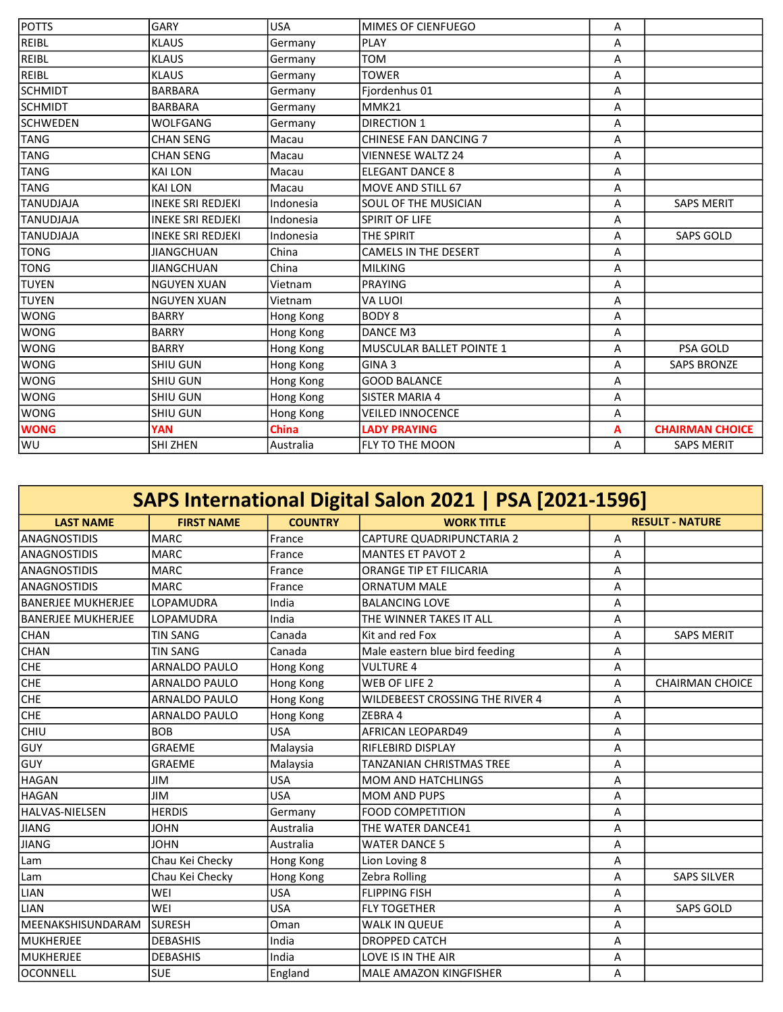| <b>POTTS</b>     | <b>GARY</b>              | <b>USA</b>   | MIMES OF CIENFUEGO              | Α |                        |
|------------------|--------------------------|--------------|---------------------------------|---|------------------------|
| <b>REIBL</b>     | <b>KLAUS</b>             | Germany      | <b>PLAY</b>                     | A |                        |
| <b>REIBL</b>     | <b>KLAUS</b>             | Germany      | <b>TOM</b>                      | Α |                        |
| <b>REIBL</b>     | <b>KLAUS</b>             | Germany      | <b>TOWER</b>                    | A |                        |
| <b>SCHMIDT</b>   | <b>BARBARA</b>           | Germany      | Fjordenhus 01                   | A |                        |
| <b>SCHMIDT</b>   | <b>BARBARA</b>           | Germany      | MMK21                           | Α |                        |
| <b>SCHWEDEN</b>  | <b>WOLFGANG</b>          | Germany      | <b>DIRECTION 1</b>              | Α |                        |
| <b>TANG</b>      | <b>CHAN SENG</b>         | Macau        | <b>CHINESE FAN DANCING 7</b>    | A |                        |
| <b>TANG</b>      | <b>CHAN SENG</b>         | Macau        | <b>VIENNESE WALTZ 24</b>        | Α |                        |
| <b>TANG</b>      | <b>KAI LON</b>           | Macau        | <b>ELEGANT DANCE 8</b>          | A |                        |
| <b>TANG</b>      | <b>KAI LON</b>           | Macau        | <b>MOVE AND STILL 67</b>        | Α |                        |
| <b>TANUDJAJA</b> | <b>INEKE SRI REDJEKI</b> | Indonesia    | <b>SOUL OF THE MUSICIAN</b>     | A | <b>SAPS MERIT</b>      |
| <b>TANUDJAJA</b> | <b>INEKE SRI REDJEKI</b> | Indonesia    | <b>SPIRIT OF LIFE</b>           | A |                        |
| <b>TANUDJAJA</b> | <b>INEKE SRI REDJEKI</b> | Indonesia    | <b>THE SPIRIT</b>               | Α | <b>SAPS GOLD</b>       |
| <b>TONG</b>      | <b>JIANGCHUAN</b>        | China        | <b>CAMELS IN THE DESERT</b>     | Α |                        |
| <b>TONG</b>      | <b>JIANGCHUAN</b>        | China        | <b>MILKING</b>                  | A |                        |
| <b>TUYEN</b>     | <b>NGUYEN XUAN</b>       | Vietnam      | <b>PRAYING</b>                  | Α |                        |
| <b>TUYEN</b>     | <b>NGUYEN XUAN</b>       | Vietnam      | VA LUOI                         | A |                        |
| <b>WONG</b>      | <b>BARRY</b>             | Hong Kong    | <b>BODY 8</b>                   | Α |                        |
| <b>WONG</b>      | <b>BARRY</b>             | Hong Kong    | DANCE M3                        | A |                        |
| <b>WONG</b>      | <b>BARRY</b>             | Hong Kong    | <b>MUSCULAR BALLET POINTE 1</b> | A | <b>PSA GOLD</b>        |
| <b>WONG</b>      | <b>SHIU GUN</b>          | Hong Kong    | GINA <sub>3</sub>               | Α | <b>SAPS BRONZE</b>     |
| <b>WONG</b>      | <b>SHIU GUN</b>          | Hong Kong    | <b>GOOD BALANCE</b>             | A |                        |
| <b>WONG</b>      | <b>SHIU GUN</b>          | Hong Kong    | <b>SISTER MARIA 4</b>           | Α |                        |
| <b>WONG</b>      | <b>SHIU GUN</b>          | Hong Kong    | <b>VEILED INNOCENCE</b>         | Α |                        |
| <b>WONG</b>      | <b>YAN</b>               | <b>China</b> | <b>LADY PRAYING</b>             | А | <b>CHAIRMAN CHOICE</b> |
| WU               | <b>SHI ZHEN</b>          | Australia    | FLY TO THE MOON                 | Α | <b>SAPS MERIT</b>      |

| SAPS International Digital Salon 2021   PSA [2021-1596] |                      |                |                                 |   |                        |  |  |
|---------------------------------------------------------|----------------------|----------------|---------------------------------|---|------------------------|--|--|
| <b>LAST NAME</b>                                        | <b>FIRST NAME</b>    | <b>COUNTRY</b> | <b>WORK TITLE</b>               |   | <b>RESULT - NATURE</b> |  |  |
| <b>ANAGNOSTIDIS</b>                                     | <b>MARC</b>          | France         | CAPTURE QUADRIPUNCTARIA 2       | Α |                        |  |  |
| <b>ANAGNOSTIDIS</b>                                     | <b>MARC</b>          | France         | <b>MANTES ET PAVOT 2</b>        | Α |                        |  |  |
| <b>ANAGNOSTIDIS</b>                                     | <b>MARC</b>          | France         | <b>ORANGE TIP ET FILICARIA</b>  | A |                        |  |  |
| <b>ANAGNOSTIDIS</b>                                     | <b>MARC</b>          | France         | <b>ORNATUM MALE</b>             | Α |                        |  |  |
| BANERJEE MUKHERJEE                                      | LOPAMUDRA            | India          | <b>BALANCING LOVE</b>           | A |                        |  |  |
| <b>BANERJEE MUKHERJEE</b>                               | LOPAMUDRA            | India          | THE WINNER TAKES IT ALL         | А |                        |  |  |
| <b>CHAN</b>                                             | <b>TIN SANG</b>      | Canada         | Kit and red Fox                 | А | <b>SAPS MERIT</b>      |  |  |
| CHAN                                                    | <b>TIN SANG</b>      | Canada         | Male eastern blue bird feeding  | Α |                        |  |  |
| <b>CHE</b>                                              | <b>ARNALDO PAULO</b> | Hong Kong      | <b>VULTURE 4</b>                | A |                        |  |  |
| <b>CHE</b>                                              | <b>ARNALDO PAULO</b> | Hong Kong      | WEB OF LIFE 2                   | A | <b>CHAIRMAN CHOICE</b> |  |  |
| <b>CHE</b>                                              | ARNALDO PAULO        | Hong Kong      | WILDEBEEST CROSSING THE RIVER 4 | Α |                        |  |  |
| <b>CHE</b>                                              | <b>ARNALDO PAULO</b> | Hong Kong      | ZEBRA 4                         | A |                        |  |  |
| <b>CHIU</b>                                             | <b>BOB</b>           | <b>USA</b>     | <b>AFRICAN LEOPARD49</b>        | Α |                        |  |  |
| <b>GUY</b>                                              | <b>GRAEME</b>        | Malaysia       | RIFLEBIRD DISPLAY               | Α |                        |  |  |
| GUY                                                     | <b>GRAEME</b>        | Malaysia       | <b>TANZANIAN CHRISTMAS TREE</b> | Α |                        |  |  |
| <b>HAGAN</b>                                            | <b>JIM</b>           | <b>USA</b>     | <b>MOM AND HATCHLINGS</b>       | A |                        |  |  |
| <b>HAGAN</b>                                            | <b>JIM</b>           | <b>USA</b>     | <b>MOM AND PUPS</b>             | A |                        |  |  |
| HALVAS-NIELSEN                                          | <b>HERDIS</b>        | Germany        | <b>FOOD COMPETITION</b>         | Α |                        |  |  |
| JIANG                                                   | <b>JOHN</b>          | Australia      | THE WATER DANCE41               | A |                        |  |  |
| <b>JIANG</b>                                            | <b>JOHN</b>          | Australia      | <b>WATER DANCE 5</b>            | Α |                        |  |  |
| Lam                                                     | Chau Kei Checky      | Hong Kong      | Lion Loving 8                   | A |                        |  |  |
| Lam                                                     | Chau Kei Checky      | Hong Kong      | Zebra Rolling                   | Α | <b>SAPS SILVER</b>     |  |  |
| <b>LIAN</b>                                             | WEI                  | <b>USA</b>     | <b>FLIPPING FISH</b>            | A |                        |  |  |
| <b>LIAN</b>                                             | WEI                  | <b>USA</b>     | <b>FLY TOGETHER</b>             | A | <b>SAPS GOLD</b>       |  |  |
| MEENAKSHISUNDARAM                                       | <b>SURESH</b>        | Oman           | <b>WALK IN QUEUE</b>            | A |                        |  |  |
| <b>MUKHERJEE</b>                                        | <b>DEBASHIS</b>      | India          | <b>DROPPED CATCH</b>            | A |                        |  |  |
| MUKHERJEE                                               | <b>DEBASHIS</b>      | India          | LOVE IS IN THE AIR              | А |                        |  |  |
| OCONNELL                                                | <b>SUE</b>           | England        | <b>MALE AMAZON KINGFISHER</b>   | A |                        |  |  |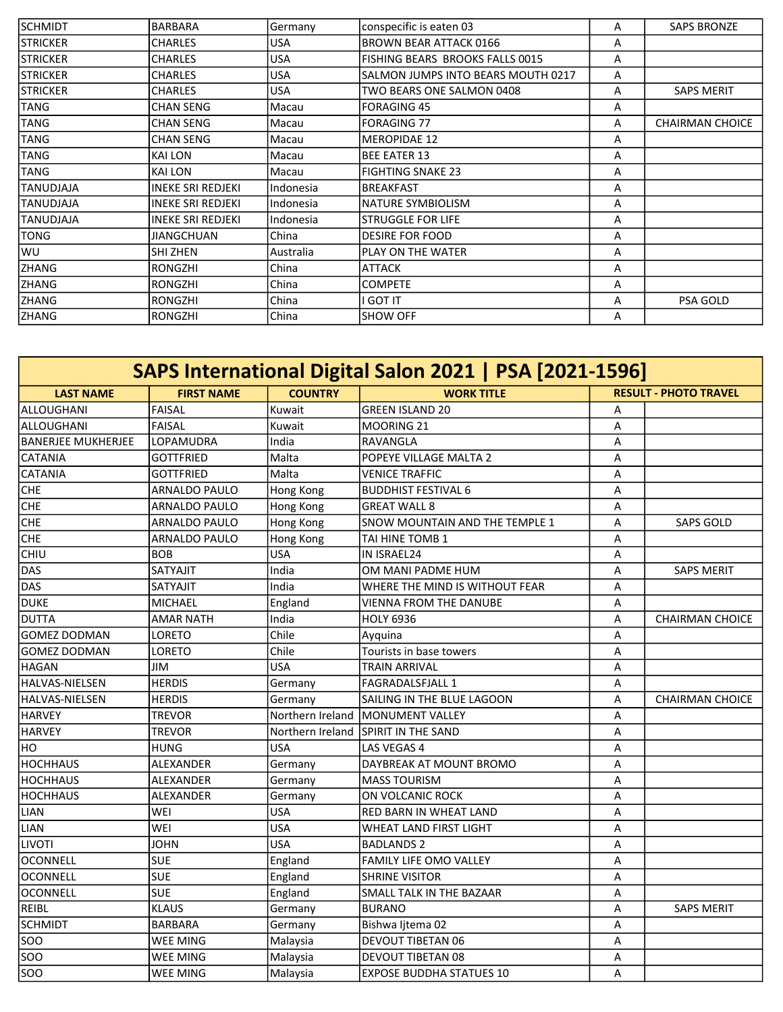| <b>SCHMIDT</b>  | <b>BARBARA</b>           | Germany    | conspecific is eaten 03            | A | <b>SAPS BRONZE</b>     |
|-----------------|--------------------------|------------|------------------------------------|---|------------------------|
| <b>STRICKER</b> | <b>CHARLES</b>           | <b>USA</b> | <b>BROWN BEAR ATTACK 0166</b>      | A |                        |
| <b>STRICKER</b> | <b>CHARLES</b>           | USA        | FISHING BEARS BROOKS FALLS 0015    | A |                        |
| <b>STRICKER</b> | <b>CHARLES</b>           | USA        | SALMON JUMPS INTO BEARS MOUTH 0217 | Α |                        |
| <b>STRICKER</b> | <b>CHARLES</b>           | <b>USA</b> | TWO BEARS ONE SALMON 0408          | Α | <b>SAPS MERIT</b>      |
| TANG            | <b>CHAN SENG</b>         | Macau      | <b>FORAGING 45</b>                 | Α |                        |
| TANG            | <b>CHAN SENG</b>         | Macau      | <b>FORAGING 77</b>                 | A | <b>CHAIRMAN CHOICE</b> |
| <b>TANG</b>     | ICHAN SENG               | Macau      | <b>MEROPIDAE 12</b>                | A |                        |
| <b>TANG</b>     | KAI LON                  | Macau      | <b>BEE EATER 13</b>                | Α |                        |
| <b>TANG</b>     | <b>KAI LON</b>           | Macau      | <b>FIGHTING SNAKE 23</b>           | A |                        |
| ITANUDJAJA      | <b>INEKE SRI REDJEKI</b> | Indonesia  | <b>BREAKFAST</b>                   | A |                        |
| ITANUDJAJA      | <b>INEKE SRI REDJEKI</b> | Indonesia  | <b>NATURE SYMBIOLISM</b>           | A |                        |
| TANUDJAJA       | <b>INEKE SRI REDJEKI</b> | Indonesia  | <b>STRUGGLE FOR LIFE</b>           | A |                        |
| <b>TONG</b>     | <b>JIANGCHUAN</b>        | China      | <b>DESIRE FOR FOOD</b>             | A |                        |
| WU              | SHI ZHEN                 | Australia  | PLAY ON THE WATER                  | Α |                        |
| <b>ZHANG</b>    | <b>RONGZHI</b>           | China      | ATTACK                             | A |                        |
| <b>ZHANG</b>    | <b>RONGZHI</b>           | China      | <b>COMPETE</b>                     | Α |                        |
| <b>ZHANG</b>    | RONGZHI                  | China      | <b>GOT IT</b>                      | Α | <b>PSA GOLD</b>        |
| <b>ZHANG</b>    | <b>RONGZHI</b>           | China      | <b>SHOW OFF</b>                    | A |                        |

| SAPS International Digital Salon 2021   PSA [2021-1596] |                      |                  |                                 |   |                              |  |
|---------------------------------------------------------|----------------------|------------------|---------------------------------|---|------------------------------|--|
| <b>LAST NAME</b>                                        | <b>FIRST NAME</b>    | <b>COUNTRY</b>   | <b>WORK TITLE</b>               |   | <b>RESULT - PHOTO TRAVEL</b> |  |
| ALLOUGHANI                                              | FAISAL               | Kuwait           | <b>GREEN ISLAND 20</b>          | Α |                              |  |
| ALLOUGHANI                                              | FAISAL               | Kuwait           | MOORING 21                      | A |                              |  |
| <b>BANERJEE MUKHERJEE</b>                               | LOPAMUDRA            | India            | RAVANGLA                        | А |                              |  |
| <b>CATANIA</b>                                          | <b>GOTTFRIED</b>     | Malta            | POPEYE VILLAGE MALTA 2          | A |                              |  |
| <b>CATANIA</b>                                          | <b>GOTTFRIED</b>     | Malta            | <b>VENICE TRAFFIC</b>           | A |                              |  |
| <b>CHE</b>                                              | <b>ARNALDO PAULO</b> | Hong Kong        | <b>BUDDHIST FESTIVAL 6</b>      | Α |                              |  |
| <b>CHE</b>                                              | <b>ARNALDO PAULO</b> | Hong Kong        | <b>GREAT WALL 8</b>             | A |                              |  |
| <b>CHE</b>                                              | ARNALDO PAULO        | Hong Kong        | SNOW MOUNTAIN AND THE TEMPLE 1  | A | <b>SAPS GOLD</b>             |  |
| CHE                                                     | ARNALDO PAULO        | Hong Kong        | TAI HINE TOMB 1                 | A |                              |  |
| CHIU                                                    | <b>BOB</b>           | <b>USA</b>       | IN ISRAEL24                     | Α |                              |  |
| DAS                                                     | SATYAJIT             | India            | OM MANI PADME HUM               | A | <b>SAPS MERIT</b>            |  |
| DAS                                                     | <b>SATYAJIT</b>      | India            | WHERE THE MIND IS WITHOUT FEAR  | Α |                              |  |
| <b>DUKE</b>                                             | MICHAEL              | England          | <b>VIENNA FROM THE DANUBE</b>   | Α |                              |  |
| DUTTA                                                   | <b>AMAR NATH</b>     | India            | <b>HOLY 6936</b>                | A | <b>CHAIRMAN CHOICE</b>       |  |
| <b>GOMEZ DODMAN</b>                                     | LORETO               | Chile            | Ayquina                         | Α |                              |  |
| <b>GOMEZ DODMAN</b>                                     | LORETO               | Chile            | Tourists in base towers         | A |                              |  |
| <b>HAGAN</b>                                            | JIM                  | <b>USA</b>       | <b>TRAIN ARRIVAL</b>            | A |                              |  |
| <b>HALVAS-NIELSEN</b>                                   | <b>HERDIS</b>        | Germany          | <b>FAGRADALSFJALL 1</b>         | Α |                              |  |
| <b>HALVAS-NIELSEN</b>                                   | <b>HERDIS</b>        | Germany          | SAILING IN THE BLUE LAGOON      | A | CHAIRMAN CHOICE              |  |
| <b>HARVEY</b>                                           | TREVOR               | Northern Ireland | <b>MONUMENT VALLEY</b>          | A |                              |  |
| <b>HARVEY</b>                                           | <b>TREVOR</b>        | Northern Ireland | SPIRIT IN THE SAND              | A |                              |  |
| HO                                                      | <b>HUNG</b>          | <b>USA</b>       | LAS VEGAS 4                     | Α |                              |  |
| <b>HOCHHAUS</b>                                         | ALEXANDER            | Germany          | DAYBREAK AT MOUNT BROMO         | A |                              |  |
| <b>HOCHHAUS</b>                                         | ALEXANDER            | Germany          | <b>MASS TOURISM</b>             | А |                              |  |
| <b>HOCHHAUS</b>                                         | ALEXANDER            | Germany          | ON VOLCANIC ROCK                | Α |                              |  |
| <b>LIAN</b>                                             | WEI                  | <b>USA</b>       | RED BARN IN WHEAT LAND          | A |                              |  |
| <b>LIAN</b>                                             | WEI                  | <b>USA</b>       | <b>WHEAT LAND FIRST LIGHT</b>   | А |                              |  |
| LIVOTI                                                  | <b>JOHN</b>          | <b>USA</b>       | <b>BADLANDS 2</b>               | A |                              |  |
| OCONNELL                                                | <b>SUE</b>           | England          | <b>FAMILY LIFE OMO VALLEY</b>   | A |                              |  |
| OCONNELL                                                | <b>SUE</b>           | England          | <b>SHRINE VISITOR</b>           | Α |                              |  |
| <b>OCONNELL</b>                                         | <b>SUE</b>           | England          | SMALL TALK IN THE BAZAAR        | A |                              |  |
| REIBL                                                   | <b>KLAUS</b>         | Germany          | <b>BURANO</b>                   | A | <b>SAPS MERIT</b>            |  |
| <b>SCHMIDT</b>                                          | <b>BARBARA</b>       | Germany          | Bishwa Ijtema 02                | А |                              |  |
| soo                                                     | WEE MING             | Malaysia         | <b>DEVOUT TIBETAN 06</b>        | A |                              |  |
| soo                                                     | WEE MING             | Malaysia         | <b>DEVOUT TIBETAN 08</b>        | A |                              |  |
| <b>SOO</b>                                              | WEE MING             | Malaysia         | <b>EXPOSE BUDDHA STATUES 10</b> | А |                              |  |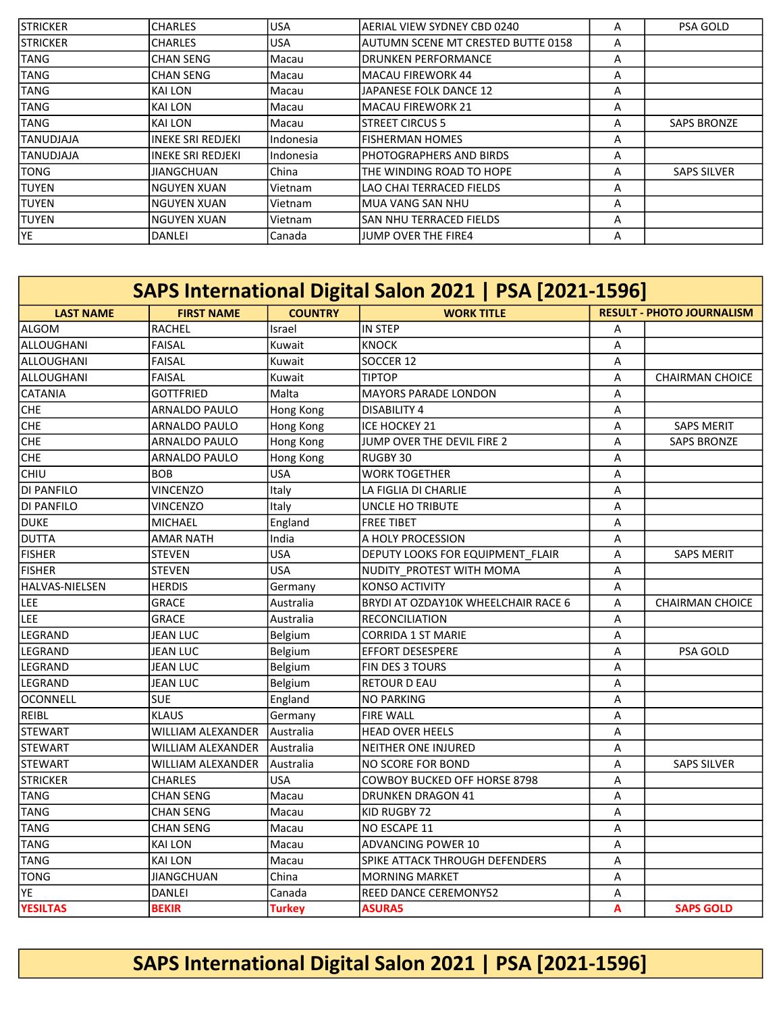| <b>STRICKER</b> | <b>ICHARLES</b>    | <b>USA</b> | lAERIAL VIEW SYDNEY CBD 0240        | Α | <b>PSA GOLD</b>    |
|-----------------|--------------------|------------|-------------------------------------|---|--------------------|
| <b>STRICKER</b> | <b>ICHARLES</b>    | <b>USA</b> | lAUTUMN SCENE MT CRESTED BUTTE 0158 | A |                    |
| <b>TANG</b>     | lCHAN SENG         | lMacau     | IDRUNKEN PERFORMANCE                | Α |                    |
| <b>TANG</b>     | lCHAN SENG         | lMacau     | lMACAU FIREWORK 44                  | A |                    |
| <b>TANG</b>     | ikai LON           | Macau      | JAPANESE FOLK DANCE 12              | Α |                    |
| <b>TANG</b>     | ikai LON           | lMacau     | lMACAU FIREWORK 21                  | Α |                    |
| <b>TANG</b>     | ikai LON           | lMacau     | <b>ISTREET CIRCUS 5</b>             | A | <b>SAPS BRONZE</b> |
| ITANUDJAJA      | lineke Sri Redjeki | lIndonesia | lfisherman homes                    | A |                    |
| ITANUDJAJA      | lineke Sri Redjeki | Indonesia  | IPHOTOGRAPHERS AND BIRDS            | Α |                    |
| <b>TONG</b>     | <b>JIANGCHUAN</b>  | l China    | THE WINDING ROAD TO HOPE            | A | <b>SAPS SILVER</b> |
| ITUYEN          | INGUYEN XUAN       | lVietnam   | LAO CHAI TERRACED FIELDS            | Α |                    |
| <b>TUYEN</b>    | INGUYEN XUAN       | l Vietnam  | lMUA VANG SAN NHU                   | А |                    |
| <b>TUYEN</b>    | INGUYEN XUAN       | Vietnam    | ISAN NHU TERRACED FIELDS            | A |                    |
| IYE.            | DANLEI             | Canada     | <b>JUMP OVER THE FIRE4</b>          | A |                    |

| SAPS International Digital Salon 2021   PSA [2021-1596] |                      |                |                                     |   |                                  |  |  |
|---------------------------------------------------------|----------------------|----------------|-------------------------------------|---|----------------------------------|--|--|
| <b>LAST NAME</b>                                        | <b>FIRST NAME</b>    | <b>COUNTRY</b> | <b>WORK TITLE</b>                   |   | <b>RESULT - PHOTO JOURNALISM</b> |  |  |
| ALGOM                                                   | <b>RACHEL</b>        | Israel         | <b>IN STEP</b>                      | A |                                  |  |  |
| ALLOUGHANI                                              | <b>FAISAL</b>        | Kuwait         | <b>KNOCK</b>                        | Α |                                  |  |  |
| <b>ALLOUGHANI</b>                                       | <b>FAISAL</b>        | Kuwait         | SOCCER 12                           | A |                                  |  |  |
| <b>ALLOUGHANI</b>                                       | <b>FAISAL</b>        | Kuwait         | <b>TIPTOP</b>                       | Α | <b>CHAIRMAN CHOICE</b>           |  |  |
| CATANIA                                                 | <b>GOTTFRIED</b>     | Malta          | <b>MAYORS PARADE LONDON</b>         | A |                                  |  |  |
| <b>CHE</b>                                              | ARNALDO PAULO        | Hong Kong      | <b>DISABILITY 4</b>                 | A |                                  |  |  |
| <b>CHE</b>                                              | <b>ARNALDO PAULO</b> | Hong Kong      | <b>ICE HOCKEY 21</b>                | Α | <b>SAPS MERIT</b>                |  |  |
| <b>CHE</b>                                              | <b>ARNALDO PAULO</b> | Hong Kong      | JUMP OVER THE DEVIL FIRE 2          | A | <b>SAPS BRONZE</b>               |  |  |
| <b>CHE</b>                                              | ARNALDO PAULO        | Hong Kong      | RUGBY 30                            | Α |                                  |  |  |
| <b>CHIU</b>                                             | <b>BOB</b>           | <b>USA</b>     | <b>WORK TOGETHER</b>                | A |                                  |  |  |
| <b>DI PANFILO</b>                                       | <b>VINCENZO</b>      | <b>Italy</b>   | LA FIGLIA DI CHARLIE                | A |                                  |  |  |
| <b>DI PANFILO</b>                                       | <b>VINCENZO</b>      | Italy          | UNCLE HO TRIBUTE                    | A |                                  |  |  |
| <b>DUKE</b>                                             | <b>MICHAEL</b>       | England        | <b>FREE TIBET</b>                   | Α |                                  |  |  |
| DUTTA                                                   | <b>AMAR NATH</b>     | India          | A HOLY PROCESSION                   | A |                                  |  |  |
| <b>FISHER</b>                                           | <b>STEVEN</b>        | <b>USA</b>     | DEPUTY LOOKS FOR EQUIPMENT FLAIR    | Α | <b>SAPS MERIT</b>                |  |  |
| <b>FISHER</b>                                           | <b>STEVEN</b>        | <b>USA</b>     | NUDITY PROTEST WITH MOMA            | A |                                  |  |  |
| HALVAS-NIELSEN                                          | <b>HERDIS</b>        | Germany        | <b>KONSO ACTIVITY</b>               | A |                                  |  |  |
| LEE                                                     | <b>GRACE</b>         | Australia      | BRYDI AT OZDAY10K WHEELCHAIR RACE 6 | A | <b>CHAIRMAN CHOICE</b>           |  |  |
| LEE                                                     | GRACE                | Australia      | <b>RECONCILIATION</b>               | A |                                  |  |  |
| LEGRAND                                                 | <b>JEAN LUC</b>      | Belgium        | <b>CORRIDA 1 ST MARIE</b>           | A |                                  |  |  |
| LEGRAND                                                 | <b>JEAN LUC</b>      | Belgium        | <b>EFFORT DESESPERE</b>             | A | <b>PSA GOLD</b>                  |  |  |
| LEGRAND                                                 | <b>JEAN LUC</b>      | Belgium        | FIN DES 3 TOURS                     | A |                                  |  |  |
| LEGRAND                                                 | JEAN LUC             | Belgium        | <b>RETOUR D EAU</b>                 | A |                                  |  |  |
| OCONNELL                                                | <b>SUE</b>           | England        | <b>NO PARKING</b>                   | Α |                                  |  |  |
| REIBL                                                   | <b>KLAUS</b>         | Germany        | <b>FIRE WALL</b>                    | A |                                  |  |  |
| <b>STEWART</b>                                          | WILLIAM ALEXANDER    | Australia      | <b>HEAD OVER HEELS</b>              | Α |                                  |  |  |
| <b>STEWART</b>                                          | WILLIAM ALEXANDER    | Australia      | NEITHER ONE INJURED                 | A |                                  |  |  |
| <b>STEWART</b>                                          | WILLIAM ALEXANDER    | Australia      | <b>NO SCORE FOR BOND</b>            | A | <b>SAPS SILVER</b>               |  |  |
| <b>STRICKER</b>                                         | <b>CHARLES</b>       | <b>USA</b>     | <b>COWBOY BUCKED OFF HORSE 8798</b> | A |                                  |  |  |
| <b>TANG</b>                                             | <b>CHAN SENG</b>     | Macau          | <b>DRUNKEN DRAGON 41</b>            | Α |                                  |  |  |
| <b>TANG</b>                                             | <b>CHAN SENG</b>     | Macau          | KID RUGBY 72                        | A |                                  |  |  |
| TANG                                                    | <b>CHAN SENG</b>     | Macau          | NO ESCAPE 11                        | Α |                                  |  |  |
| TANG                                                    | <b>KAI LON</b>       | Macau          | <b>ADVANCING POWER 10</b>           | A |                                  |  |  |
| <b>TANG</b>                                             | <b>KAI LON</b>       | Macau          | SPIKE ATTACK THROUGH DEFENDERS      | A |                                  |  |  |
| <b>TONG</b>                                             | <b>JIANGCHUAN</b>    | China          | <b>MORNING MARKET</b>               | A |                                  |  |  |
| YE                                                      | DANLEI               | Canada         | REED DANCE CEREMONY52               | Α |                                  |  |  |
| <b>YESILTAS</b>                                         | <b>BEKIR</b>         | <b>Turkey</b>  | <b>ASURA5</b>                       | A | <b>SAPS GOLD</b>                 |  |  |

SAPS International Digital Salon 2021 | PSA [2021-1596]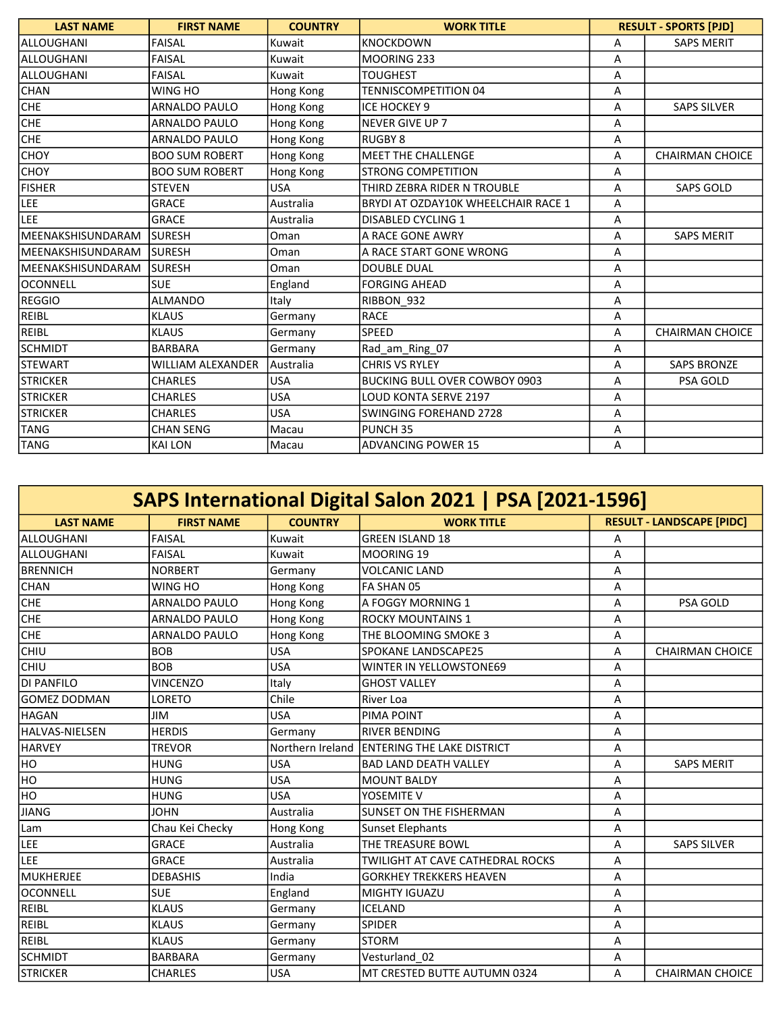| <b>LAST NAME</b>          | <b>FIRST NAME</b>        | <b>COUNTRY</b> | <b>WORK TITLE</b>                    | <b>RESULT - SPORTS [PJD]</b> |                        |
|---------------------------|--------------------------|----------------|--------------------------------------|------------------------------|------------------------|
| lalloughani               | <b>FAISAL</b>            | Kuwait         | <b>KNOCKDOWN</b>                     | Α                            | <b>SAPS MERIT</b>      |
| <b>ALLOUGHANI</b>         | <b>FAISAL</b>            | Kuwait         | MOORING 233                          | A                            |                        |
| lalloughani               | <b>FAISAL</b>            | Kuwait         | <b>TOUGHEST</b>                      | A                            |                        |
| <b>CHAN</b>               | WING HO                  | Hong Kong      | <b>TENNISCOMPETITION 04</b>          | Α                            |                        |
| <b>CHE</b>                | <b>ARNALDO PAULO</b>     | Hong Kong      | <b>ICE HOCKEY 9</b>                  | A                            | <b>SAPS SILVER</b>     |
| <b>CHE</b>                | <b>ARNALDO PAULO</b>     | Hong Kong      | <b>NEVER GIVE UP 7</b>               | Α                            |                        |
| <b>CHE</b>                | <b>ARNALDO PAULO</b>     | Hong Kong      | <b>RUGBY 8</b>                       | A                            |                        |
| <b>CHOY</b>               | <b>BOO SUM ROBERT</b>    | Hong Kong      | <b>MEET THE CHALLENGE</b>            | A                            | <b>CHAIRMAN CHOICE</b> |
| <b>CHOY</b>               | <b>BOO SUM ROBERT</b>    | Hong Kong      | <b>STRONG COMPETITION</b>            | А                            |                        |
| <b>FISHER</b>             | <b>STEVEN</b>            | <b>USA</b>     | THIRD ZEBRA RIDER N TROUBLE          | Α                            | <b>SAPS GOLD</b>       |
| LEE                       | <b>GRACE</b>             | Australia      | BRYDI AT OZDAY10K WHEELCHAIR RACE 1  | A                            |                        |
| LEE                       | <b>GRACE</b>             | Australia      | <b>DISABLED CYCLING 1</b>            | A                            |                        |
| lMEENAKSHISUNDARAM        | <b>SURESH</b>            | Oman           | A RACE GONE AWRY                     | A                            | <b>SAPS MERIT</b>      |
| <b>IMEENAKSHISUNDARAM</b> | <b>SURESH</b>            | Oman           | A RACE START GONE WRONG              | Α                            |                        |
| <b>IMEENAKSHISUNDARAM</b> | <b>SURESH</b>            | Oman           | <b>DOUBLE DUAL</b>                   | A                            |                        |
| loconnell                 | <b>SUE</b>               | England        | <b>FORGING AHEAD</b>                 | A                            |                        |
| <b>REGGIO</b>             | <b>ALMANDO</b>           | Italy          | RIBBON 932                           | A                            |                        |
| <b>REIBL</b>              | <b>KLAUS</b>             | Germany        | <b>RACE</b>                          | A                            |                        |
| <b>REIBL</b>              | <b>KLAUS</b>             | Germany        | SPEED                                | A                            | <b>CHAIRMAN CHOICE</b> |
| <b>SCHMIDT</b>            | <b>BARBARA</b>           | Germany        | Rad am Ring 07                       | A                            |                        |
| <b>STEWART</b>            | <b>WILLIAM ALEXANDER</b> | Australia      | <b>CHRIS VS RYLEY</b>                | Α                            | <b>SAPS BRONZE</b>     |
| <b>STRICKER</b>           | <b>CHARLES</b>           | <b>USA</b>     | <b>BUCKING BULL OVER COWBOY 0903</b> | Α                            | <b>PSA GOLD</b>        |
| Istricker                 | <b>CHARLES</b>           | <b>USA</b>     | LOUD KONTA SERVE 2197                | Α                            |                        |
| <b>STRICKER</b>           | <b>CHARLES</b>           | <b>USA</b>     | SWINGING FOREHAND 2728               | A                            |                        |
| <b>TANG</b>               | <b>CHAN SENG</b>         | Macau          | PUNCH <sub>35</sub>                  | Α                            |                        |
| <b>TANG</b>               | <b>KAI LON</b>           | Macau          | <b>ADVANCING POWER 15</b>            | Α                            |                        |

| SAPS International Digital Salon 2021   PSA [2021-1596] |                      |                  |                                  |   |                                  |  |  |
|---------------------------------------------------------|----------------------|------------------|----------------------------------|---|----------------------------------|--|--|
| <b>LAST NAME</b>                                        | <b>FIRST NAME</b>    | <b>COUNTRY</b>   | <b>WORK TITLE</b>                |   | <b>RESULT - LANDSCAPE [PIDC]</b> |  |  |
| <b>ALLOUGHANI</b>                                       | <b>FAISAL</b>        | Kuwait           | <b>GREEN ISLAND 18</b>           | Α |                                  |  |  |
| lalloughani                                             | <b>FAISAL</b>        | Kuwait           | MOORING 19                       | Α |                                  |  |  |
| <b>BRENNICH</b>                                         | <b>NORBERT</b>       | Germany          | <b>VOLCANIC LAND</b>             | A |                                  |  |  |
| <b>CHAN</b>                                             | <b>WING HO</b>       | Hong Kong        | FA SHAN 05                       | Α |                                  |  |  |
| <b>CHE</b>                                              | <b>ARNALDO PAULO</b> | Hong Kong        | A FOGGY MORNING 1                | Α | PSA GOLD                         |  |  |
| <b>CHE</b>                                              | <b>ARNALDO PAULO</b> | Hong Kong        | <b>ROCKY MOUNTAINS 1</b>         | А |                                  |  |  |
| <b>CHE</b>                                              | <b>ARNALDO PAULO</b> | Hong Kong        | THE BLOOMING SMOKE 3             | A |                                  |  |  |
| <b>CHIU</b>                                             | <b>BOB</b>           | <b>USA</b>       | <b>SPOKANE LANDSCAPE25</b>       | A | <b>CHAIRMAN CHOICE</b>           |  |  |
| <b>CHIU</b>                                             | <b>BOB</b>           | <b>USA</b>       | WINTER IN YELLOWSTONE69          | A |                                  |  |  |
| <b>DI PANFILO</b>                                       | <b>VINCENZO</b>      | Italy            | <b>GHOST VALLEY</b>              | Α |                                  |  |  |
| lgomez dodman                                           | <b>LORETO</b>        | Chile            | <b>River Loa</b>                 | A |                                  |  |  |
| <b>HAGAN</b>                                            | <b>JIM</b>           | <b>USA</b>       | PIMA POINT                       | A |                                  |  |  |
| <b>HALVAS-NIELSEN</b>                                   | <b>HERDIS</b>        | Germany          | <b>RIVER BENDING</b>             | A |                                  |  |  |
| <b>HARVEY</b>                                           | <b>TREVOR</b>        | Northern Ireland | ENTERING THE LAKE DISTRICT       | A |                                  |  |  |
| HO                                                      | <b>HUNG</b>          | <b>USA</b>       | <b>BAD LAND DEATH VALLEY</b>     | A | <b>SAPS MERIT</b>                |  |  |
| HO                                                      | <b>HUNG</b>          | <b>USA</b>       | <b>MOUNT BALDY</b>               | A |                                  |  |  |
| HO                                                      | <b>HUNG</b>          | <b>USA</b>       | YOSEMITE V                       | A |                                  |  |  |
| JIANG                                                   | <b>JOHN</b>          | Australia        | <b>SUNSET ON THE FISHERMAN</b>   | Α |                                  |  |  |
| Lam                                                     | Chau Kei Checky      | Hong Kong        | Sunset Elephants                 | A |                                  |  |  |
| LEE                                                     | <b>GRACE</b>         | Australia        | THE TREASURE BOWL                | Α | <b>SAPS SILVER</b>               |  |  |
| LEE                                                     | <b>GRACE</b>         | Australia        | TWILIGHT AT CAVE CATHEDRAL ROCKS | A |                                  |  |  |
| MUKHERJEE                                               | <b>DEBASHIS</b>      | India            | <b>GORKHEY TREKKERS HEAVEN</b>   | A |                                  |  |  |
| <b>OCONNELL</b>                                         | <b>SUE</b>           | England          | MIGHTY IGUAZU                    | A |                                  |  |  |
| REIBL                                                   | <b>KLAUS</b>         | Germany          | <b>ICELAND</b>                   | Α |                                  |  |  |
| REIBL                                                   | <b>KLAUS</b>         | Germany          | <b>SPIDER</b>                    | A |                                  |  |  |
| REIBL                                                   | <b>KLAUS</b>         | Germany          | <b>STORM</b>                     | A |                                  |  |  |
| <b>SCHMIDT</b>                                          | <b>BARBARA</b>       | Germany          | Vesturland 02                    | Α |                                  |  |  |
| STRICKER                                                | <b>CHARLES</b>       | <b>USA</b>       | MT CRESTED BUTTE AUTUMN 0324     | A | <b>CHAIRMAN CHOICE</b>           |  |  |